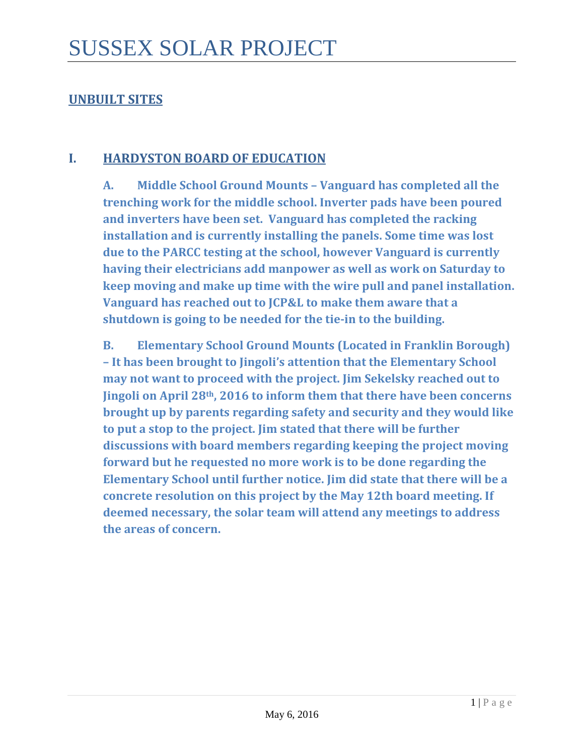## **UNBUILT SITES**

## **I. HARDYSTON BOARD OF EDUCATION**

**A. Middle School Ground Mounts – Vanguard has completed all the trenching work for the middle school. Inverter pads have been poured and inverters have been set. Vanguard has completed the racking installation and is currently installing the panels. Some time was lost due to the PARCC testing at the school, however Vanguard is currently having their electricians add manpower as well as work on Saturday to keep moving and make up time with the wire pull and panel installation. Vanguard has reached out to JCP&L to make them aware that a shutdown is going to be needed for the tie-in to the building.** 

**B. Elementary School Ground Mounts (Located in Franklin Borough) – It has been brought to Jingoli's attention that the Elementary School may not want to proceed with the project. Jim Sekelsky reached out to Jingoli on April 28th, 2016 to inform them that there have been concerns brought up by parents regarding safety and security and they would like to put a stop to the project. Jim stated that there will be further discussions with board members regarding keeping the project moving forward but he requested no more work is to be done regarding the Elementary School until further notice. Jim did state that there will be a concrete resolution on this project by the May 12th board meeting. If deemed necessary, the solar team will attend any meetings to address the areas of concern.**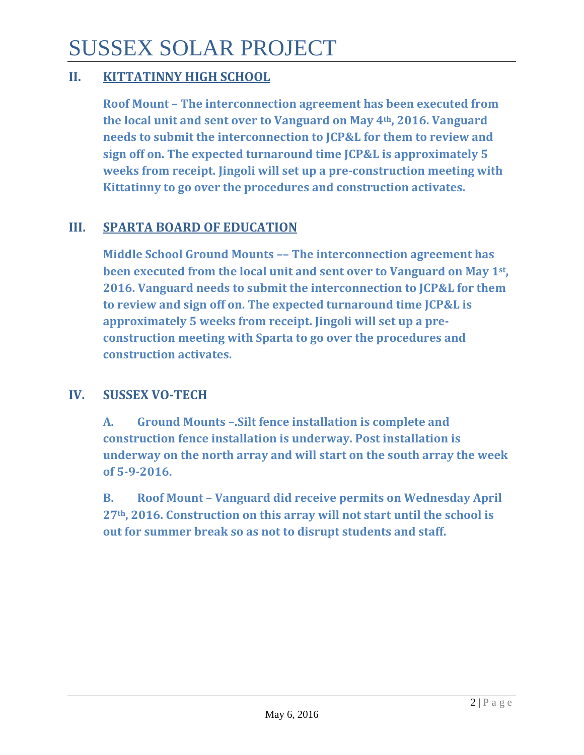# SUSSEX SOLAR PROJECT

## **II. KITTATINNY HIGH SCHOOL**

**Roof Mount – The interconnection agreement has been executed from the local unit and sent over to Vanguard on May 4th, 2016. Vanguard needs to submit the interconnection to JCP&L for them to review and sign off on. The expected turnaround time JCP&L is approximately 5 weeks from receipt. Jingoli will set up a pre-construction meeting with Kittatinny to go over the procedures and construction activates.** 

# **III. SPARTA BOARD OF EDUCATION**

**Middle School Ground Mounts –– The interconnection agreement has been executed from the local unit and sent over to Vanguard on May 1st, 2016. Vanguard needs to submit the interconnection to JCP&L for them to review and sign off on. The expected turnaround time JCP&L is approximately 5 weeks from receipt. Jingoli will set up a preconstruction meeting with Sparta to go over the procedures and construction activates.**

# **IV. SUSSEX VO-TECH**

**A. Ground Mounts –.Silt fence installation is complete and construction fence installation is underway. Post installation is underway on the north array and will start on the south array the week of 5-9-2016.**

**B. Roof Mount – Vanguard did receive permits on Wednesday April 27th, 2016. Construction on this array will not start until the school is out for summer break so as not to disrupt students and staff.**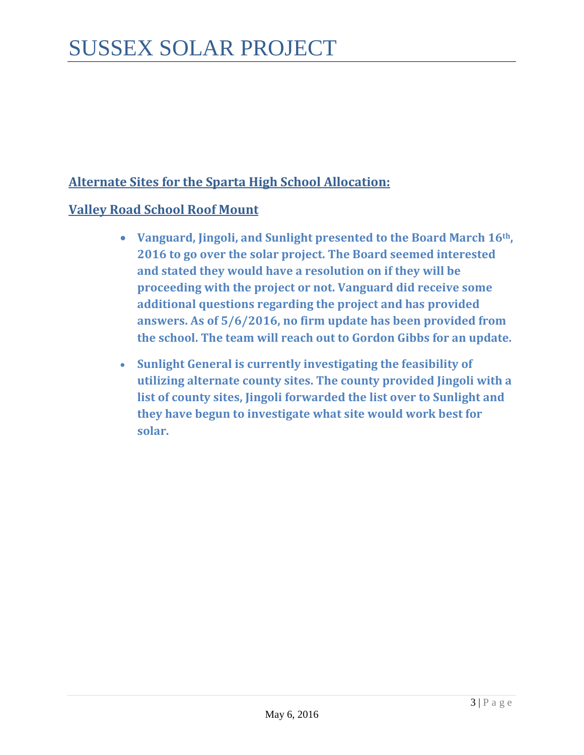# **Alternate Sites for the Sparta High School Allocation:**

## **Valley Road School Roof Mount**

- **Vanguard, Jingoli, and Sunlight presented to the Board March 16th, 2016 to go over the solar project. The Board seemed interested and stated they would have a resolution on if they will be proceeding with the project or not. Vanguard did receive some additional questions regarding the project and has provided answers. As of 5/6/2016, no firm update has been provided from the school. The team will reach out to Gordon Gibbs for an update.**
- **Sunlight General is currently investigating the feasibility of utilizing alternate county sites. The county provided Jingoli with a list of county sites, Jingoli forwarded the list over to Sunlight and they have begun to investigate what site would work best for solar.**